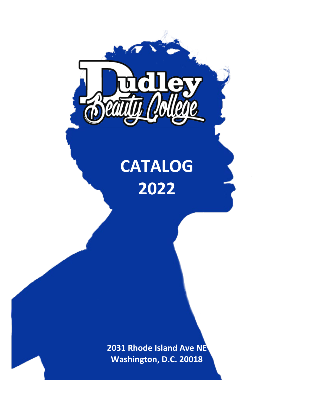

# **CATALOG 2022**

**2031 Rhode Island Ave NE Washington, D.C. 20018**

**1**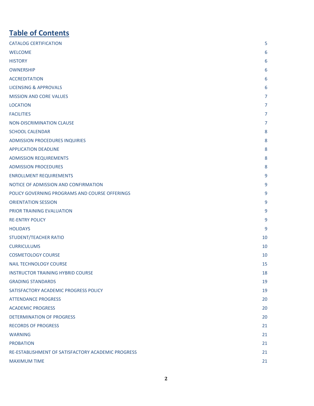# **Table of Contents**

| <b>CATALOG CERTIFICATION</b>                       | 5              |
|----------------------------------------------------|----------------|
| <b>WELCOME</b>                                     | 6              |
| <b>HISTORY</b>                                     | 6              |
| <b>OWNERSHIP</b>                                   | 6              |
| <b>ACCREDITATION</b>                               | 6              |
| <b>LICENSING &amp; APPROVALS</b>                   | 6              |
| <b>MISSION AND CORE VALUES</b>                     | $\overline{7}$ |
| <b>LOCATION</b>                                    | $\overline{7}$ |
| <b>FACILITIES</b>                                  | $\overline{7}$ |
| <b>NON-DISCRIMINATION CLAUSE</b>                   | $\overline{7}$ |
| <b>SCHOOL CALENDAR</b>                             | 8              |
| <b>ADMISSION PROCEDURES INQUIRIES</b>              | 8              |
| <b>APPLICATION DEADLINE</b>                        | $\bf 8$        |
| <b>ADMISSION REQUIREMENTS</b>                      | 8              |
| <b>ADMISSION PROCEDURES</b>                        | 8              |
| <b>ENROLLMENT REQUIREMENTS</b>                     | 9              |
| NOTICE OF ADMISSION AND CONFIRMATION               | 9              |
| POLICY GOVERNING PROGRAMS AND COURSE OFFERINGS     | 9              |
| <b>ORIENTATION SESSION</b>                         | 9              |
| PRIOR TRAINING EVALUATION                          | 9              |
| <b>RE-ENTRY POLICY</b>                             | 9              |
| <b>HOLIDAYS</b>                                    | 9              |
| <b>STUDENT/TEACHER RATIO</b>                       | 10             |
| <b>CURRICULUMS</b>                                 | 10             |
| <b>COSMETOLOGY COURSE</b>                          | 10             |
| <b>NAIL TECHNOLOGY COURSE</b>                      | 15             |
| <b>INSTRUCTOR TRAINING HYBRID COURSE</b>           | 18             |
| <b>GRADING STANDARDS</b>                           | 19             |
| SATISFACTORY ACADEMIC PROGRESS POLICY              | 19             |
| <b>ATTENDANCE PROGRESS</b>                         | 20             |
| <b>ACADEMIC PROGRESS</b>                           | 20             |
| <b>DETERMINATION OF PROGRESS</b>                   | 20             |
| <b>RECORDS OF PROGRESS</b>                         | 21             |
| <b>WARNING</b>                                     | 21             |
| <b>PROBATION</b>                                   | 21             |
| RE-ESTABLISHMENT OF SATISFACTORY ACADEMIC PROGRESS | 21             |
| <b>MAXIMUM TIME</b>                                | 21             |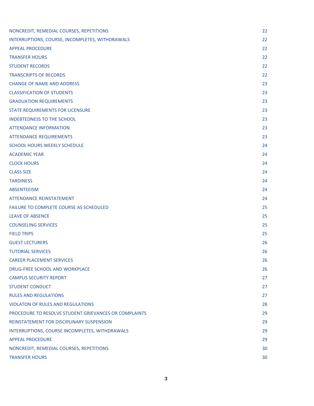| NONCREDIT, REMEDIAL COURSES, REPETITIONS              | 22 |
|-------------------------------------------------------|----|
| INTERRUPTIONS, COURSE, INCOMPLETES, WITHDRAWALS       | 22 |
| <b>APPEAL PROCEDURE</b>                               | 22 |
| <b>TRANSFER HOURS</b>                                 | 22 |
| <b>STUDENT RECORDS</b>                                | 22 |
| <b>TRANSCRIPTS OF RECORDS</b>                         | 22 |
| <b>CHANGE OF NAME AND ADDRESS</b>                     | 23 |
| <b>CLASSIFICATION OF STUDENTS</b>                     | 23 |
| <b>GRADUATION REQUIREMENTS</b>                        | 23 |
| STATE REQUIREMENTS FOR LICENSURE                      | 23 |
| <b>INDEBTEDNESS TO THE SCHOOL</b>                     | 23 |
| <b>ATTENDANCE INFORMATION</b>                         | 23 |
| <b>ATTENDANCE REQUIREMENTS</b>                        | 23 |
| SCHOOL HOURS WEEKLY SCHEDULE                          | 24 |
| <b>ACADEMIC YEAR</b>                                  | 24 |
| <b>CLOCK HOURS</b>                                    | 24 |
| <b>CLASS SIZE</b>                                     | 24 |
| <b>TARDINESS</b>                                      | 24 |
| <b>ABSENTEEISM</b>                                    | 24 |
| <b>ATTENDANCE REINSTATEMENT</b>                       | 24 |
| <b>FAILURE TO COMPLETE COURSE AS SCHEDULED</b>        | 25 |
| <b>LEAVE OF ABSENCE</b>                               | 25 |
| <b>COUNSELING SERVICES</b>                            | 25 |
| <b>FIELD TRIPS</b>                                    | 25 |
| <b>GUEST LECTURERS</b>                                | 26 |
| <b>TUTORIAL SERVICES</b>                              | 26 |
| <b>CAREER PLACEMENT SERVICES</b>                      | 26 |
| DRUG-FREE SCHOOL AND WORKPLACE                        | 26 |
| <b>CAMPUS SECURITY REPORT</b>                         | 27 |
| <b>STUDENT CONDUCT</b>                                | 27 |
| <b>RULES AND REGULATIONS</b>                          | 27 |
| <b>VIOLATON OF RULES AND REGULATIONS</b>              | 28 |
| PROCEDURE TO RESOLVE STUDENT GRIEVANCES OR COMPLAINTS | 29 |
| REINSTATEMENT FOR DISCIPLINARY SUSPENSION             | 29 |
| INTERRUPTIONS, COURSE INCOMPLETES, WITHDRAWALS        | 29 |
| <b>APPEAL PROCEDURE</b>                               | 29 |
| NONCREDIT, REMEDIAL COURSES, REPETITIONS              | 30 |
| <b>TRANSFER HOURS</b>                                 | 30 |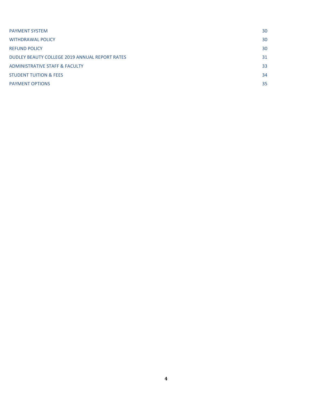| <b>PAYMENT SYSTEM</b>                          | 30 |
|------------------------------------------------|----|
| <b>WITHDRAWAL POLICY</b>                       | 30 |
| <b>REFUND POLICY</b>                           | 30 |
| DUDLEY BEAUTY COLLEGE 2019 ANNUAL REPORT RATES | 31 |
| <b>ADMINISTRATIVE STAFF &amp; FACULTY</b>      | 33 |
| <b>STUDENT TUITION &amp; FEES</b>              | 34 |
| <b>PAYMENT OPTIONS</b>                         | 35 |
|                                                |    |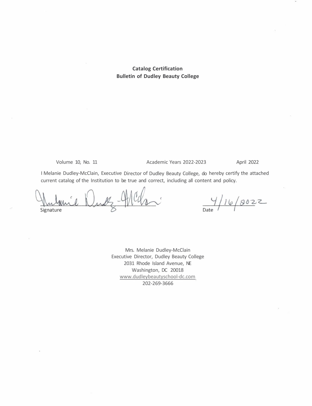#### **Catalog Certification Bulletin of Dudley Beauty College**

Volume 10, No. 11

#### Academic Years 2022-2023 April 2022

I Melanie Dudley-McClain, Executive Director of Dudley Beauty College, do hereby certify the attached current catalog of the Institution to be true and correct, including all content and policy.

Signature

 $\frac{4}{\text{Date}}$ /16/2022

Mrs. Melanie Dudley-McClain Executive Director, Dudley Beauty College 2031 Rhode Island Avenue, NE Washington, DC 20018 www.dudleybeautyschool-dc.com 202-269-3666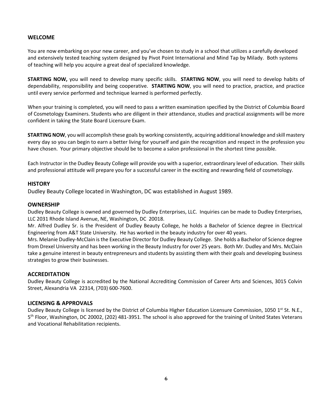#### <span id="page-5-0"></span>**WELCOME**

You are now embarking on your new career, and you've chosen to study in a school that utilizes a carefully developed and extensively tested teaching system designed by Pivot Point International and Mind Tap by Milady. Both systems of teaching will help you acquire a great deal of specialized knowledge.

**STARTING NOW,** you will need to develop many specific skills. **STARTING NOW**, you will need to develop habits of dependability, responsibility and being cooperative. **STARTING NOW**, you will need to practice, practice, and practice until every service performed and technique learned is performed perfectly.

When your training is completed, you will need to pass a written examination specified by the District of Columbia Board of Cosmetology Examiners. Students who are diligent in their attendance, studies and practical assignments will be more confident in taking the State Board Licensure Exam.

**STARTING NOW**, you will accomplish these goals by working consistently, acquiring additional knowledge and skill mastery every day so you can begin to earn a better living for yourself and gain the recognition and respect in the profession you have chosen. Your primary objective should be to become a salon professional in the shortest time possible.

Each Instructor in the Dudley Beauty College will provide you with a superior, extraordinary level of education. Their skills and professional attitude will prepare you for a successful career in the exciting and rewarding field of cosmetology.

#### <span id="page-5-1"></span>**HISTORY**

Dudley Beauty College located in Washington, DC was established in August 1989.

#### <span id="page-5-2"></span>**OWNERSHIP**

Dudley Beauty College is owned and governed by Dudley Enterprises, LLC. Inquiries can be made to Dudley Enterprises, LLC 2031 Rhode Island Avenue, NE, Washington, DC 20018.

Mr. Alfred Dudley Sr. is the President of Dudley Beauty College, he holds a Bachelor of Science degree in Electrical Engineering from A&T State University. He has worked in the beauty industry for over 40 years.

Mrs. Melanie Dudley-McClain is the Executive Director for Dudley Beauty College. She holds a Bachelor of Science degree from Drexel University and has been working in the Beauty Industry for over 25 years. Both Mr. Dudley and Mrs. McClain take a genuine interest in beauty entrepreneurs and students by assisting them with their goals and developing business strategies to grow their businesses.

#### <span id="page-5-3"></span>**ACCREDITATION**

Dudley Beauty College is accredited by the National Accrediting Commission of Career Arts and Sciences, 3015 Colvin Street, Alexandria VA 22314, (703) 600-7600.

#### <span id="page-5-4"></span>**LICENSING & APPROVALS**

Dudley Beauty College is licensed by the District of Columbia Higher Education Licensure Commission, 1050 1<sup>st</sup> St. N.E., 5th Floor, Washington, DC 20002, (202) 481-3951. The school is also approved for the training of United States Veterans and Vocational Rehabilitation recipients.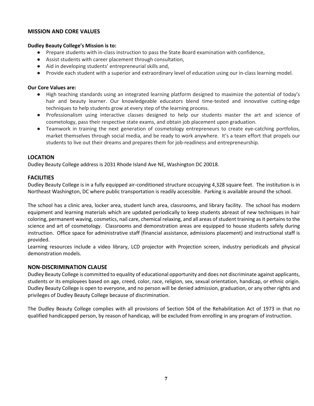#### <span id="page-6-0"></span>**MISSION AND CORE VALUES**

#### **Dudley Beauty College's Mission is to:**

- Prepare students with in-class instruction to pass the State Board examination with confidence,
- Assist students with career placement through consultation,
- Aid in developing students' entrepreneurial skills and,
- Provide each student with a superior and extraordinary level of education using our in-class learning model.

#### **Our Core Values are:**

- High teaching standards using an integrated learning platform designed to maximize the potential of today's hair and beauty learner. Our knowledgeable educators blend time-tested and innovative cutting-edge techniques to help students grow at every step of the learning process.
- Professionalism using interactive classes designed to help our students master the art and science of cosmetology, pass their respective state exams, and obtain job placement upon graduation.
- Teamwork in training the next generation of cosmetology entrepreneurs to create eye-catching portfolios, market themselves through social media, and be ready to work anywhere. It's a team effort that propels our students to live out their dreams and prepares them for job-readiness and entrepreneurship.

#### <span id="page-6-1"></span>**LOCATION**

Dudley Beauty College address is 2031 Rhode Island Ave NE, Washington DC 20018.

#### <span id="page-6-2"></span>**FACILITIES**

Dudley Beauty College is in a fully equipped air-conditioned structure occupying 4,328 square feet. The institution is in Northeast Washington, DC where public transportation is readily accessible. Parking is available around the school.

The school has a clinic area, locker area, student lunch area, classrooms, and library facility. The school has modern equipment and learning materials which are updated periodically to keep students abreast of new techniques in hair coloring, permanent waving, cosmetics, nail care, chemical relaxing, and all areas of student training as it pertains to the science and art of cosmetology. Classrooms and demonstration areas are equipped to house students safely during instruction. Office space for administrative staff (financial assistance, admissions placement) and instructional staff is provided.

Learning resources include a video library, LCD projector with Projection screen, industry periodicals and physical demonstration models.

#### <span id="page-6-3"></span>**NON-DISCRIMINATION CLAUSE**

Dudley Beauty College is committed to equality of educational opportunity and does not discriminate against applicants, students or its employees based on age, creed, color, race, religion, sex, sexual orientation, handicap, or ethnic origin. Dudley Beauty College is open to everyone, and no person will be denied admission, graduation, or any other rights and privileges of Dudley Beauty College because of discrimination.

The Dudley Beauty College complies with all provisions of Section 504 of the Rehabilitation Act of 1973 in that no qualified handicapped person, by reason of handicap, will be excluded from enrolling in any program of instruction.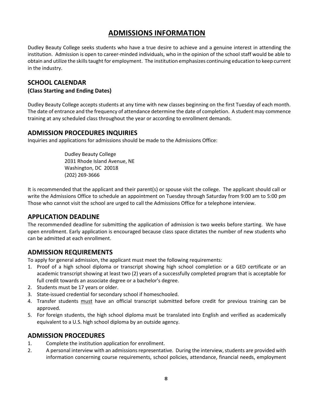# **ADMISSIONS INFORMATION**

Dudley Beauty College seeks students who have a true desire to achieve and a genuine interest in attending the institution. Admission is open to career-minded individuals, who in the opinion of the school staff would be able to obtain and utilize the skills taught for employment. The institution emphasizes continuing education to keep current in the industry.

# <span id="page-7-0"></span>**SCHOOL CALENDAR**

### **(Class Starting and Ending Dates)**

Dudley Beauty College accepts students at any time with new classes beginning on the first Tuesday of each month. The date of entrance and the frequency of attendance determine the date of completion. A student may commence training at any scheduled class throughout the year or according to enrollment demands.

# <span id="page-7-1"></span>**ADMISSION PROCEDURES INQUIRIES**

Inquiries and applications for admissions should be made to the Admissions Office:

Dudley Beauty College 2031 Rhode Island Avenue, NE Washington, DC 20018 (202) 269-3666

It is recommended that the applicant and their parent(s) or spouse visit the college. The applicant should call or write the Admissions Office to schedule an appointment on Tuesday through Saturday from 9:00 am to 5:00 pm Those who cannot visit the school are urged to call the Admissions Office for a telephone interview.

# <span id="page-7-2"></span>**APPLICATION DEADLINE**

The recommended deadline for submitting the application of admission is two weeks before starting. We have open enrollment. Early application is encouraged because class space dictates the number of new students who can be admitted at each enrollment.

# <span id="page-7-3"></span>**ADMISSION REQUIREMENTS**

To apply for general admission, the applicant must meet the following requirements:

- 1. Proof of a high school diploma or transcript showing high school completion or a GED certificate or an academic transcript showing at least two (2) years of a successfully completed program that is acceptable for full credit towards an associate degree or a bachelor's degree.
- 2. Students must be 17 years or older.
- 3. State-issued credential for secondary school if homeschooled.
- 4. Transfer students must have an official transcript submitted before credit for previous training can be approved.
- 5. For foreign students, the high school diploma must be translated into English and verified as academically equivalent to a U.S. high school diploma by an outside agency.

# <span id="page-7-4"></span>**ADMISSION PROCEDURES**

- 1. Complete the institution application for enrollment.
- 2. A personal interview with an admissions representative. During the interview, students are provided with information concerning course requirements, school policies, attendance, financial needs, employment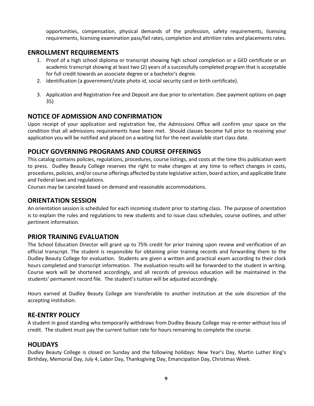opportunities, compensation, physical demands of the profession, safety requirements, licensing requirements, licensing examination pass/fail rates, completion and attrition rates and placements rates.

# <span id="page-8-0"></span>**ENROLLMENT REQUIREMENTS**

- 1. Proof of a high school diploma or transcript showing high school completion or a GED certificate or an academic transcript showing at least two (2) years of a successfully completed program that is acceptable for full credit towards an associate degree or a bachelor's degree.
- 2. Identification (a government/state photo id, social security card or birth certificate).
- 3. Application and Registration Fee and Deposit are due prior to orientation. (See payment options on page 35)

# <span id="page-8-1"></span>**NOTICE OF ADMISSION AND CONFIRMATION**

Upon receipt of your application and registration fee, the Admissions Office will confirm your space on the condition that all admissions requirements have been met. Should classes become full prior to receiving your application you will be notified and placed on a waiting list for the next available start class date.

# <span id="page-8-2"></span>**POLICY GOVERNING PROGRAMS AND COURSE OFFERINGS**

This catalog contains policies, regulations, procedures, course listings, and costs at the time this publication went to press. Dudley Beauty College reserves the right to make changes at any time to reflect changes in costs, procedures, policies, and/or course offerings affected by state legislative action, board action, and applicable State and Federal laws and regulations.

Courses may be canceled based on demand and reasonable accommodations.

# <span id="page-8-3"></span>**ORIENTATION SESSION**

An orientation session is scheduled for each incoming student prior to starting class. The purpose of orientation is to explain the rules and regulations to new students and to issue class schedules, course outlines, and other pertinent information.

# <span id="page-8-4"></span>**PRIOR TRAINING EVALUATION**

The School Education Director will grant up to 75% credit for prior training upon review and verification of an official transcript. The student is responsible for obtaining prior training records and forwarding them to the Dudley Beauty College for evaluation. Students are given a written and practical exam according to their clock hours completed and transcript information. The evaluation results will be forwarded to the student in writing. Course work will be shortened accordingly, and all records of previous education will be maintained in the students' permanent record file. The student's tuition will be adjusted accordingly.

Hours earned at Dudley Beauty College are transferable to another institution at the sole discretion of the accepting institution.

# <span id="page-8-5"></span>**RE-ENTRY POLICY**

A student in good standing who temporarily withdraws from Dudley Beauty College may re-enter without loss of credit. The student must pay the current tuition rate for hours remaining to complete the course.

# <span id="page-8-6"></span>**HOLIDAYS**

Dudley Beauty College is closed on Sunday and the following holidays: New Year's Day, Martin Luther King's Birthday, Memorial Day, July 4, Labor Day, Thanksgiving Day, Emancipation Day, Christmas Week.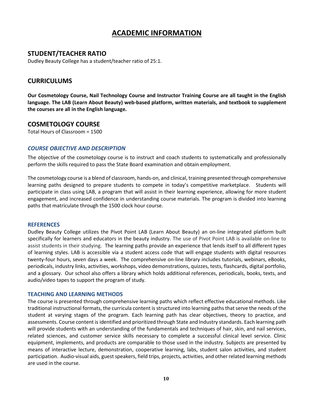# **ACADEMIC INFORMATION**

### <span id="page-9-0"></span>**STUDENT/TEACHER RATIO**

Dudley Beauty College has a student/teacher ratio of 25:1.

#### <span id="page-9-1"></span>**CURRICULUMS**

**Our Cosmetology Course, Nail Technology Course and Instructor Training Course are all taught in the English language. The LAB (Learn About Beauty) web-based platform, written materials, and textbook to supplement the courses are all in the English language.**

#### <span id="page-9-2"></span>**COSMETOLOGY COURSE**

Total Hours of Classroom = 1500

#### *COURSE OBJECTIVE AND DESCRIPTION*

The objective of the cosmetology course is to instruct and coach students to systematically and professionally perform the skills required to pass the State Board examination and obtain employment.

The cosmetology course is a blend of classroom, hands-on, and clinical, training presented through comprehensive learning paths designed to prepare students to compete in today's competitive marketplace. Students will participate in class using LAB, a program that will assist in their learning experience, allowing for more student engagement, and increased confidence in understanding course materials. The program is divided into learning paths that matriculate through the 1500 clock hour course.

#### **REFERENCES**

Dudley Beauty College utilizes the Pivot Point LAB (Learn About Beauty) an on-line integrated platform built specifically for learners and educators in the beauty industry. The use of Pivot Point LAB is available on-line to assist students in their studying. The learning paths provide an experience that lends itself to all different types of learning styles. LAB is accessible via a student access code that will engage students with digital resources twenty-four hours, seven days a week. The comprehensive on-line library includes tutorials, webinars, eBooks, periodicals, industry links, activities, workshops, video demonstrations, quizzes, tests, flashcards, digital portfolio, and a glossary. Our school also offers a library which holds additional references, periodicals, books, texts, and audio/video tapes to support the program of study.

#### **TEACHING AND LEARNING METHODS**

The course is presented through comprehensive learning paths which reflect effective educational methods. Like traditional instructional formats, the curricula content is structured into learning paths that serve the needs of the student at varying stages of the program. Each learning path has clear objectives, theory to practice, and assessments. Course content is identified and prioritized through State and Industry standards. Each learning path will provide students with an understanding of the fundamentals and techniques of hair, skin, and nail services, related sciences, and customer service skills necessary to complete a successful clinical level service. Clinic equipment, implements, and products are comparable to those used in the industry. Subjects are presented by means of interactive lecture, demonstration, cooperative learning, labs, student salon activities, and student participation. Audio-visual aids, guest speakers, field trips, projects, activities, and other related learning methods are used in the course.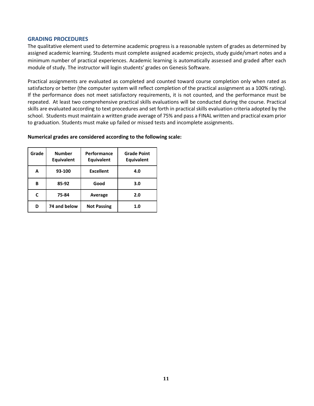#### **GRADING PROCEDURES**

The qualitative element used to determine academic progress is a reasonable system of grades as determined by assigned academic learning. Students must complete assigned academic projects, study guide/smart notes and a minimum number of practical experiences. Academic learning is automatically assessed and graded after each module of study. The instructor will login students' grades on Genesis Software.

Practical assignments are evaluated as completed and counted toward course completion only when rated as satisfactory or better (the computer system will reflect completion of the practical assignment as a 100% rating). If the performance does not meet satisfactory requirements, it is not counted, and the performance must be repeated. At least two comprehensive practical skills evaluations will be conducted during the course. Practical skills are evaluated according to text procedures and set forth in practical skills evaluation criteria adopted by the school. Students must maintain a written grade average of 75% and pass a FINAL written and practical exam prior to graduation. Students must make up failed or missed tests and incomplete assignments.

| Grade | <b>Number</b><br><b>Equivalent</b> | Performance<br><b>Equivalent</b> | <b>Grade Point</b><br><b>Equivalent</b> |
|-------|------------------------------------|----------------------------------|-----------------------------------------|
| A     | 93-100                             | <b>Excellent</b>                 | 4.0                                     |
| В     | 85-92                              | Good                             | 3.0                                     |
| C     | 75-84                              | Average                          | 2.0                                     |
| D     | 74 and below                       | <b>Not Passing</b>               | 1.0                                     |

#### **Numerical grades are considered according to the following scale:**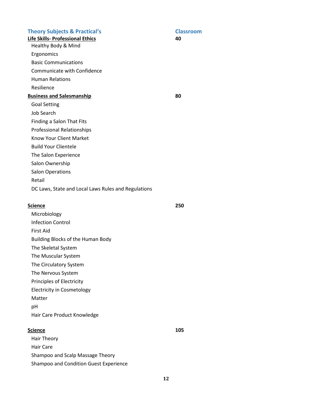#### **Theory Subjects & Practical's Classroom**

**Life Skills- Professional Ethics 40**  Healthy Body & Mind

**Ergonomics** 

Basic Communications

Communicate with Confidence

Human Relations

Resilience

#### **Business and Salesmanship 80**

Goal Setting

Job Search

Finding a Salon That Fits

Professional Relationships

- Know Your Client Market
- Build Your Clientele

The Salon Experience

Salon Ownership

Salon Operations

Retail DC Laws, State and Local Laws Rules and Regulations

# **Science 250**

- Microbiology
- Infection Control

First Aid

Building Blocks of the Human Body

The Skeletal System

The Muscular System

The Circulatory System

The Nervous System

Principles of Electricity

Electricity in Cosmetology

Matter

pH

Hair Care Product Knowledge

### **Science** 105

Hair Theory Hair Care Shampoo and Scalp Massage Theory Shampoo and Condition Guest Experience

**12**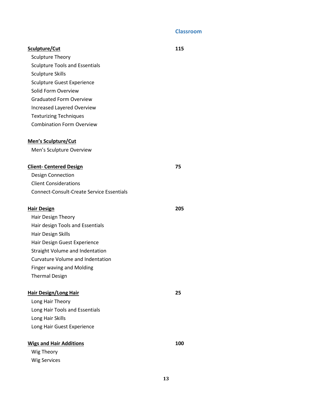### **Classroom**

| Sculpture/Cut                                    | 115 |
|--------------------------------------------------|-----|
| <b>Sculpture Theory</b>                          |     |
| <b>Sculpture Tools and Essentials</b>            |     |
| <b>Sculpture Skills</b>                          |     |
| <b>Sculpture Guest Experience</b>                |     |
| Solid Form Overview                              |     |
| <b>Graduated Form Overview</b>                   |     |
| <b>Increased Layered Overview</b>                |     |
| <b>Texturizing Techniques</b>                    |     |
| <b>Combination Form Overview</b>                 |     |
| <b>Men's Sculpture/Cut</b>                       |     |
| Men's Sculpture Overview                         |     |
| <b>Client- Centered Design</b>                   | 75  |
| <b>Design Connection</b>                         |     |
| <b>Client Considerations</b>                     |     |
| <b>Connect-Consult-Create Service Essentials</b> |     |
|                                                  |     |
|                                                  |     |
| <b>Hair Design</b>                               | 205 |
| Hair Design Theory                               |     |
| Hair design Tools and Essentials                 |     |
| Hair Design Skills                               |     |
| Hair Design Guest Experience                     |     |
| Straight Volume and Indentation                  |     |
| <b>Curvature Volume and Indentation</b>          |     |
| <b>Finger waving and Molding</b>                 |     |
| <b>Thermal Design</b>                            |     |
|                                                  |     |
| <b>Hair Design/Long Hair</b>                     | 25  |
| Long Hair Theory                                 |     |
| Long Hair Tools and Essentials                   |     |
| Long Hair Skills                                 |     |
| Long Hair Guest Experience                       |     |
| <b>Wigs and Hair Additions</b>                   | 100 |
| Wig Theory                                       |     |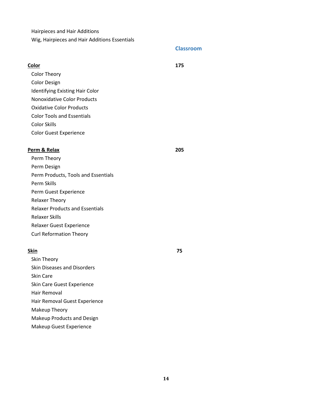Hairpieces and Hair Additions

Wig, Hairpieces and Hair Additions Essentials

#### **Classroom**

| Color                                  | 175 |
|----------------------------------------|-----|
| <b>Color Theory</b>                    |     |
| <b>Color Design</b>                    |     |
| <b>Identifying Existing Hair Color</b> |     |
| Nonoxidative Color Products            |     |
| <b>Oxidative Color Products</b>        |     |
| <b>Color Tools and Essentials</b>      |     |
| <b>Color Skills</b>                    |     |
| <b>Color Guest Experience</b>          |     |
|                                        |     |

### **Perm & Relax 205**

Perm Theory Perm Design Perm Products, Tools and Essentials Perm Skills Perm Guest Experience Relaxer Theory Relaxer Products and Essentials Relaxer Skills Relaxer Guest Experience Curl Reformation Theory

#### **Skin 75**

Skin Theory Skin Diseases and Disorders Skin Care Skin Care Guest Experience Hair Removal Hair Removal Guest Experience Makeup Theory Makeup Products and Design Makeup Guest Experience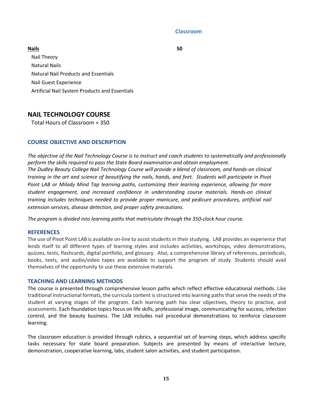#### **Classroom**

**Nails 50**  Nail Theory Natural Nails Natural Nail Products and Essentials Nail Guest Experience Artificial Nail System Products and Essentials

# <span id="page-14-0"></span>**NAIL TECHNOLOGY COURSE**

Total Hours of Classroom = 350

#### **COURSE OBJECTIVE AND DESCRIPTION**

*The objective of the Nail Technology Course is to instruct and coach students to systematically and professionally perform the skills required to pass the State Board examination and obtain employment. The Dudley Beauty College Nail Technology Course will provide a blend of classroom, and hands-on clinical training in the art and science of beautifying the nails, hands, and feet. Students will participate in Pivot Point LAB or Milady Mind Tap learning paths, customizing their learning experience, allowing for more student engagement, and increased confidence in understanding course materials. Hands-on clinical training includes techniques needed to provide proper manicure, and pedicure procedures, artificial nail extension services, disease detection, and proper safety precautions.*

*The program is divided into learning paths that matriculate through the 350-clock hour course.*

#### **REFERENCES**

The use of Pivot Point LAB is available on-line to assist students in their studying. LAB provides an experience that lends itself to all different types of learning styles and includes activities, workshops, video demonstrations, quizzes, tests, flashcards, digital portfolio, and glossary. Also, a comprehensive library of references, periodicals, books, texts, and audio/video tapes are available to support the program of study. Students should avail themselves of the opportunity to use these extensive materials.

#### **TEACHING AND LEARNING METHODS**

The course is presented through comprehensive lesson paths which reflect effective educational methods. Like traditional instructional formats, the curricula content is structured into learning paths that serve the needs of the student at varying stages of the program. Each learning path has clear objectives, theory to practice, and assessments. Each foundation topics focus on life skills, professional image, communicating for success, infection control, and the beauty business. The LAB includes nail procedural demonstrations to reinforce classroom learning.

The classroom education is provided through rubrics, a sequential set of learning steps, which address specific tasks necessary for state board preparation. Subjects are presented by means of interactive lecture, demonstration, cooperative learning, labs, student salon activities, and student participation.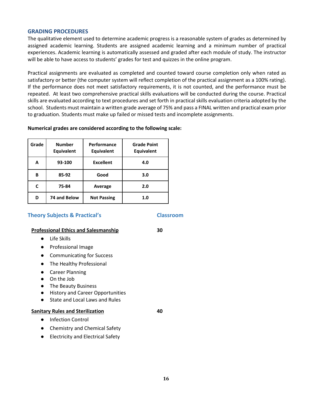#### **GRADING PROCEDURES**

The qualitative element used to determine academic progress is a reasonable system of grades as determined by assigned academic learning. Students are assigned academic learning and a minimum number of practical experiences. Academic learning is automatically assessed and graded after each module of study. The instructor will be able to have access to students' grades for test and quizzes in the online program.

Practical assignments are evaluated as completed and counted toward course completion only when rated as satisfactory or better (the computer system will reflect completion of the practical assignment as a 100% rating). If the performance does not meet satisfactory requirements, it is not counted, and the performance must be repeated. At least two comprehensive practical skills evaluations will be conducted during the course. Practical skills are evaluated according to text procedures and set forth in practical skills evaluation criteria adopted by the school. Students must maintain a written grade average of 75% and pass a FINAL written and practical exam prior to graduation. Students must make up failed or missed tests and incomplete assignments.

#### **Numerical grades are considered according to the following scale:**

| Grade | <b>Number</b><br><b>Equivalent</b> | Performance<br><b>Equivalent</b> | <b>Grade Point</b><br><b>Equivalent</b> |
|-------|------------------------------------|----------------------------------|-----------------------------------------|
| A     | 93-100                             | <b>Excellent</b>                 | 4.0                                     |
| В     | 85-92                              | Good                             | 3.0                                     |
| C     | 75-84                              | Average                          | 2.0                                     |
| D     | 74 and Below                       | <b>Not Passing</b>               | 1.0                                     |

#### **Theory Subjects & Practical's Classroom**

#### **Professional Ethics and Salesmanship 30**

- Life Skills
- Professional Image
- Communicating for Success
- The Healthy Professional
- Career Planning
- On the Job
- The Beauty Business
- History and Career Opportunities
- State and Local Laws and Rules

#### **Sanitary Rules and Sterilization 40**

- Infection Control
- Chemistry and Chemical Safety
- Electricity and Electrical Safety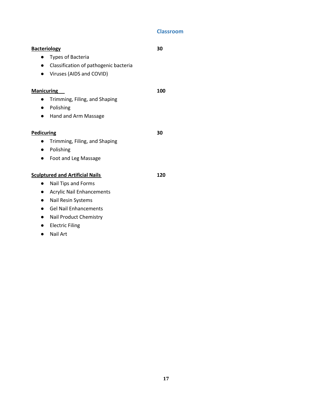# **Classroom**

|                   | <b>Bacteriology</b>                    | 30  |
|-------------------|----------------------------------------|-----|
| $\bullet$         | <b>Types of Bacteria</b>               |     |
| $\bullet$         | Classification of pathogenic bacteria  |     |
| $\bullet$         | Viruses (AIDS and COVID)               |     |
| <b>Manicuring</b> |                                        | 100 |
|                   | Trimming, Filing, and Shaping          |     |
| $\bullet$         | Polishing                              |     |
|                   | Hand and Arm Massage                   |     |
| Pedicuring        |                                        | 30  |
| $\bullet$         | Trimming, Filing, and Shaping          |     |
| $\bullet$         | Polishing                              |     |
| $\bullet$         | Foot and Leg Massage                   |     |
|                   | <b>Sculptured and Artificial Nails</b> | 120 |
|                   | Nail Tips and Forms                    |     |
| $\bullet$         | <b>Acrylic Nail Enhancements</b>       |     |
| $\bullet$         | Nail Resin Systems                     |     |
| $\bullet$         | <b>Gel Nail Enhancements</b>           |     |
| $\bullet$         | Nail Product Chemistry                 |     |
|                   | <b>Electric Filing</b>                 |     |

● Nail Art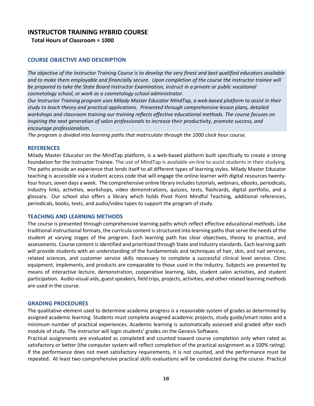# <span id="page-17-0"></span>**INSTRUCTOR TRAINING HYBRID COURSE**

**Total Hours of Classroom = 1000**

#### **COURSE OBJECTIVE AND DESCRIPTION**

*The objective of the Instructor Training Course is to develop the very finest and best qualified educators available and to make them employable and financially secure. Upon completion of the course the instructor trainee will be prepared to take the State Board Instructor Examination, instruct in a private or public vocational cosmetology school, or work as a cosmetology school administrator.*

*Our Instructor Training program uses Milady Master Educator MindTap, a web-based platform to assist in their study to teach theory and practical applications. Presented through comprehensive lesson plans, detailed workshops and classroom training our training reflects effective educational methods. The course focuses on inspiring the next generation of salon professionals to increase their productivity, promote success, and encourage professionalism.*

*The program is divided into learning paths that matriculate through the 1000 clock hour course.* 

#### **REFERENCES**

Milady Master Educator on the MindTap platform, is a web-based platform built specifically to create a strong foundation for the Instructor Trainee. The use of MindTap is available on-line to assist students in their studying. The paths provide an experience that lends itself to all different types of learning styles. Milady Master Educator teaching is accessible via a student access code that will engage the online learner with digital resources twentyfour hours, seven days a week. The comprehensive online library includes tutorials, webinars, eBooks, periodicals, industry links, activities, workshops, video demonstrations, quizzes, tests, flashcards, digital portfolio, and a glossary. Our school also offers a library which holds Pivot Point Mindful Teaching, additional references, periodicals, books, texts, and audio/video tapes to support the program of study.

#### **TEACHING AND LEARNING METHODS**

The course is presented through comprehensive learning paths which reflect effective educational methods. Like traditional instructional formats, the curricula content is structured into learning paths that serve the needs of the student at varying stages of the program. Each learning path has clear objectives, theory to practice, and assessments. Course content is identified and prioritized through State and Industry standards. Each learning path will provide students with an understanding of the fundamentals and techniques of hair, skin, and nail services, related sciences, and customer service skills necessary to complete a successful clinical level service. Clinic equipment, implements, and products are comparable to those used in the industry. Subjects are presented by means of interactive lecture, demonstration, cooperative learning, labs, student salon activities, and student participation. Audio-visual aids, guest speakers, field trips, projects, activities, and other related learning methods are used in the course.

#### **GRADING PROCEDURES**

The qualitative element used to determine academic progress is a reasonable system of grades as determined by assigned academic learning. Students must complete assigned academic projects, study guide/smart notes and a minimum number of practical experiences. Academic learning is automatically assessed and graded after each module of study. The instructor will login students' grades on the Genesis Software.

Practical assignments are evaluated as completed and counted toward course completion only when rated as satisfactory or better (the computer system will reflect completion of the practical assignment as a 100% rating). If the performance does not meet satisfactory requirements, it is not counted, and the performance must be repeated. At least two comprehensive practical skills evaluations will be conducted during the course. Practical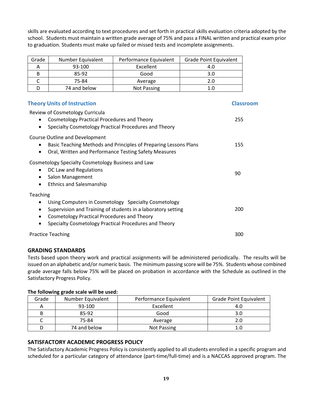**19**

skills are evaluated according to text procedures and set forth in practical skills evaluation criteria adopted by the school. Students must maintain a written grade average of 75% and pass a FINAL written and practical exam prior to graduation. Students must make up failed or missed tests and incomplete assignments.

| Grade | Number Equivalent | Performance Equivalent | <b>Grade Point Equivalent</b> |
|-------|-------------------|------------------------|-------------------------------|
|       | 93-100            | Excellent              | 4.0                           |
| В     | 85-92             | Good                   | 3.0                           |
|       | 75-84             | Average                | 2.0                           |
|       | 74 and below      | <b>Not Passing</b>     | 1.0                           |

# **Theory Units of Instruction Classroom** Classroom

| Cosmetology Practical Procedures and Theory<br>$\bullet$<br>Specialty Cosmetology Practical Procedures and Theory                                                                                                                                                       | 255 |
|-------------------------------------------------------------------------------------------------------------------------------------------------------------------------------------------------------------------------------------------------------------------------|-----|
| <b>Course Outline and Development</b><br>Basic Teaching Methods and Principles of Preparing Lessons Plans<br>Oral, Written and Performance Testing Safety Measures                                                                                                      | 155 |
| Cosmetology Specialty Cosmetology Business and Law<br>DC Law and Regulations<br>$\bullet$<br>Salon Management<br>$\bullet$<br><b>Ethnics and Salesmanship</b><br>$\bullet$                                                                                              | 90  |
| Teaching<br>Using Computers in Cosmetology Specialty Cosmetology<br>$\bullet$<br>Supervision and Training of students in a laboratory setting<br>٠<br>Cosmetology Practical Procedures and Theory<br>$\bullet$<br>Specialty Cosmetology Practical Procedures and Theory | 200 |
| <b>Practice Teaching</b>                                                                                                                                                                                                                                                | 300 |

# <span id="page-18-0"></span>**GRADING STANDARDS**

Tests based upon theory work and practical assignments will be administered periodically. The results will be issued on an alphabetic and/or numeric basis. The minimum passing score will be 75%. Students whose combined grade average falls below 75% will be placed on probation in accordance with the Schedule as outlined in the Satisfactory Progress Policy.

### **The following grade scale will be used:**

| Grade | Number Equivalent | Performance Equivalent | <b>Grade Point Equivalent</b> |
|-------|-------------------|------------------------|-------------------------------|
| A     | 93-100            | Excellent              | 4.0                           |
|       | 85-92             | Good                   |                               |
|       | 75-84             | Average                |                               |
|       | 74 and below      | <b>Not Passing</b>     |                               |

# <span id="page-18-1"></span>**SATISFACTORY ACADEMIC PROGRESS POLICY**

The Satisfactory Academic Progress Policy is consistently applied to all students enrolled in a specific program and scheduled for a particular category of attendance (part-time/full-time) and is a NACCAS approved program. The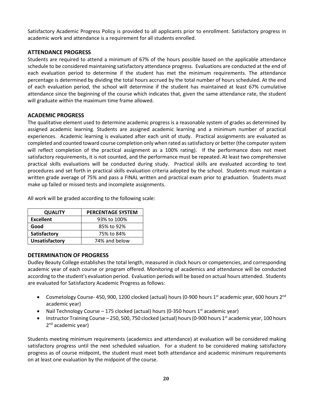Satisfactory Academic Progress Policy is provided to all applicants prior to enrollment. Satisfactory progress in academic work and attendance is a requirement for all students enrolled.

#### <span id="page-19-0"></span>**ATTENDANCE PROGRESS**

Students are required to attend a minimum of 67% of the hours possible based on the applicable attendance schedule to be considered maintaining satisfactory attendance progress. Evaluations are conducted at the end of each evaluation period to determine if the student has met the minimum requirements. The attendance percentage is determined by dividing the total hours accrued by the total number of hours scheduled. At the end of each evaluation period, the school will determine if the student has maintained at least 67% cumulative attendance since the beginning of the course which indicates that, given the same attendance rate, the student will graduate within the maximum time frame allowed.

#### <span id="page-19-1"></span>**ACADEMIC PROGRESS**

The qualitative element used to determine academic progress is a reasonable system of grades as determined by assigned academic learning. Students are assigned academic learning and a minimum number of practical experiences. Academic learning is evaluated after each unit of study. Practical assignments are evaluated as completed and counted toward course completion only when rated as satisfactory or better (the computer system will reflect completion of the practical assignment as a 100% rating). If the performance does not meet satisfactory requirements, it is not counted, and the performance must be repeated. At least two comprehensive practical skills evaluations will be conducted during study. Practical skills are evaluated according to text procedures and set forth in practical skills evaluation criteria adopted by the school. Students must maintain a written grade average of 75% and pass a FINAL written and practical exam prior to graduation. Students must make up failed or missed tests and incomplete assignments.

All work will be graded according to the following scale:

| <b>QUALITY</b>        | <b>PERCENTAGE SYSTEM</b> |
|-----------------------|--------------------------|
| <b>Excellent</b>      | 93% to 100%              |
| Good                  | 85% to 92%               |
| Satisfactory          | 75% to 84%               |
| <b>Unsatisfactory</b> | 74% and below            |

#### <span id="page-19-2"></span>**DETERMINATION OF PROGRESS**

Dudley Beauty College establishes the total length, measured in clock hours or competencies, and corresponding academic year of each course or program offered. Monitoring of academics and attendance will be conducted according to the student's evaluation period. Evaluation periods will be based on actual hours attended. Students are evaluated for Satisfactory Academic Progress as follows:

- Cosmetology Course- 450, 900, 1200 clocked (actual) hours (0-900 hours  $1<sup>st</sup>$  academic year, 600 hours  $2<sup>nd</sup>$ academic year)
- Nail Technology Course 175 clocked (actual) hours (0-350 hours  $1<sup>st</sup>$  academic year)
- Instructor Training Course 250, 500, 750 clocked (actual) hours (0-900 hours 1<sup>st</sup> academic year, 100 hours 2<sup>nd</sup> academic year)

Students meeting minimum requirements (academics and attendance) at evaluation will be considered making satisfactory progress until the next scheduled valuation. For a student to be considered making satisfactory progress as of course midpoint, the student must meet both attendance and academic minimum requirements on at least one evaluation by the midpoint of the course.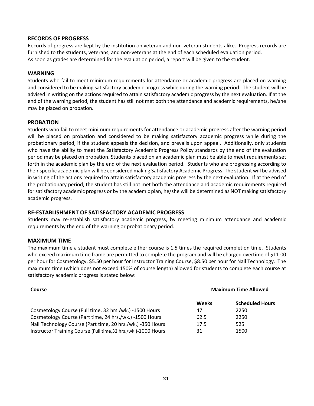#### <span id="page-20-0"></span>**RECORDS OF PROGRESS**

Records of progress are kept by the institution on veteran and non-veteran students alike. Progress records are furnished to the students, veterans, and non-veterans at the end of each scheduled evaluation period. As soon as grades are determined for the evaluation period, a report will be given to the student.

#### <span id="page-20-1"></span>**WARNING**

Students who fail to meet minimum requirements for attendance or academic progress are placed on warning and considered to be making satisfactory academic progress while during the warning period. The student will be advised in writing on the actions required to attain satisfactory academic progress by the next evaluation. If at the end of the warning period, the student has still not met both the attendance and academic requirements, he/she may be placed on probation.

#### <span id="page-20-2"></span>**PROBATION**

Students who fail to meet minimum requirements for attendance or academic progress after the warning period will be placed on probation and considered to be making satisfactory academic progress while during the probationary period, if the student appeals the decision, and prevails upon appeal. Additionally, only students who have the ability to meet the Satisfactory Academic Progress Policy standards by the end of the evaluation period may be placed on probation. Students placed on an academic plan must be able to meet requirements set forth in the academic plan by the end of the next evaluation period. Students who are progressing according to their specific academic plan will be considered making Satisfactory Academic Progress. The student will be advised in writing of the actions required to attain satisfactory academic progress by the next evaluation. If at the end of the probationary period, the student has still not met both the attendance and academic requirements required for satisfactory academic progress or by the academic plan, he/she will be determined as NOT making satisfactory academic progress.

#### <span id="page-20-3"></span>**RE-ESTABLISHMENT OF SATISFACTORY ACADEMIC PROGRESS**

Students may re-establish satisfactory academic progress, by meeting minimum attendance and academic requirements by the end of the warning or probationary period.

#### <span id="page-20-4"></span>**MAXIMUM TIME**

The maximum time a student must complete either course is 1.5 times the required completion time. Students who exceed maximum time frame are permitted to complete the program and will be charged overtime of \$11.00 per hour for Cosmetology, \$5.50 per hour for Instructor Training Course, \$8.50 per hour for Nail Technology. The maximum time (which does not exceed 150% of course length) allowed for students to complete each course at satisfactory academic progress is stated below:

| Course                                                         | <b>Maximum Time Allowed</b> |                        |
|----------------------------------------------------------------|-----------------------------|------------------------|
|                                                                | Weeks                       | <b>Scheduled Hours</b> |
| Cosmetology Course (Full time, 32 hrs./wk.) -1500 Hours        | 47                          | 2250                   |
| Cosmetology Course (Part time, 24 hrs./wk.) -1500 Hours        | 62.5                        | 2250                   |
| Nail Technology Course (Part time, 20 hrs./wk.) -350 Hours     | 17.5                        | 525                    |
| Instructor Training Course (Full time, 32 hrs./wk.)-1000 Hours | 31                          | 1500                   |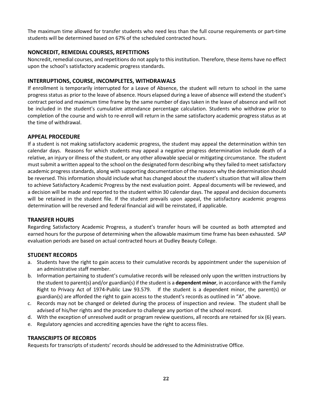The maximum time allowed for transfer students who need less than the full course requirements or part-time students will be determined based on 67% of the scheduled contracted hours.

#### <span id="page-21-0"></span>**NONCREDIT, REMEDIAL COURSES, REPETITIONS**

Noncredit, remedial courses, and repetitions do not apply to this institution. Therefore, these items have no effect upon the school's satisfactory academic progress standards.

#### <span id="page-21-1"></span>**INTERRUPTIONS, COURSE, INCOMPLETES, WITHDRAWALS**

If enrollment is temporarily interrupted for a Leave of Absence, the student will return to school in the same progress status as prior to the leave of absence. Hours elapsed during a leave of absence will extend the student's contract period and maximum time frame by the same number of days taken in the leave of absence and will not be included in the student's cumulative attendance percentage calculation. Students who withdraw prior to completion of the course and wish to re-enroll will return in the same satisfactory academic progress status as at the time of withdrawal.

### <span id="page-21-2"></span>**APPEAL PROCEDURE**

If a student is not making satisfactory academic progress, the student may appeal the determination within ten calendar days. Reasons for which students may appeal a negative progress determination include death of a relative, an injury or illness of the student, or any other allowable special or mitigating circumstance. The student must submit a written appeal to the school on the designated form describing why they failed to meet satisfactory academic progress standards, along with supporting documentation of the reasons why the determination should be reversed. This information should include what has changed about the student's situation that will allow them to achieve Satisfactory Academic Progress by the next evaluation point. Appeal documents will be reviewed, and a decision will be made and reported to the student within 30 calendar days. The appeal and decision documents will be retained in the student file. If the student prevails upon appeal, the satisfactory academic progress determination will be reversed and federal financial aid will be reinstated, if applicable.

#### <span id="page-21-3"></span>**TRANSFER HOURS**

Regarding Satisfactory Academic Progress, a student's transfer hours will be counted as both attempted and earned hours for the purpose of determining when the allowable maximum time frame has been exhausted. SAP evaluation periods are based on actual contracted hours at Dudley Beauty College.

### <span id="page-21-4"></span>**STUDENT RECORDS**

- a. Students have the right to gain access to their cumulative records by appointment under the supervision of an administrative staff member.
- b. Information pertaining to student's cumulative records will be released only upon the written instructions by the student to parent(s) and/or guardian(s) if the student is a **dependent minor**, in accordance with the Family Right to Privacy Act of 1974-Public Law 93.579. If the student is a dependent minor, the parent(s) or guardian(s) are afforded the right to gain access to the student's records as outlined in "A" above.
- c. Records may not be changed or deleted during the process of inspection and review. The student shall be advised of his/her rights and the procedure to challenge any portion of the school record.
- d. With the exception of unresolved audit or program review questions, all records are retained for six (6) years.
- e. Regulatory agencies and accrediting agencies have the right to access files.

#### <span id="page-21-5"></span>**TRANSCRIPTS OF RECORDS**

Requests for transcripts of students' records should be addressed to the Administrative Office.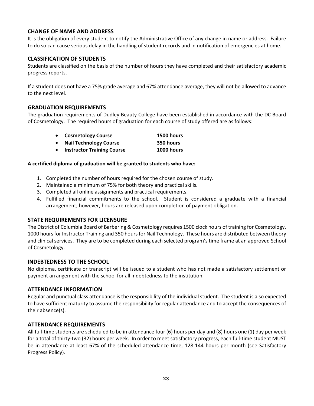### <span id="page-22-0"></span>**CHANGE OF NAME AND ADDRESS**

It is the obligation of every student to notify the Administrative Office of any change in name or address. Failure to do so can cause serious delay in the handling of student records and in notification of emergencies at home.

### <span id="page-22-1"></span>**CLASSIFICATION OF STUDENTS**

Students are classified on the basis of the number of hours they have completed and their satisfactory academic progress reports.

If a student does not have a 75% grade average and 67% attendance average, they will not be allowed to advance to the next level.

#### <span id="page-22-2"></span>**GRADUATION REQUIREMENTS**

The graduation requirements of Dudley Beauty College have been established in accordance with the DC Board of Cosmetology. The required hours of graduation for each course of study offered are as follows:

|           | • Cosmetology Course          | 1500 hours |
|-----------|-------------------------------|------------|
| $\bullet$ | <b>Nail Technology Course</b> | 350 hours  |
|           |                               |            |

• **Instructor Training Course 1000 hours**

#### **A certified diploma of graduation will be granted to students who have:**

- 1. Completed the number of hours required for the chosen course of study.
- 2. Maintained a minimum of 75% for both theory and practical skills.
- 3. Completed all online assignments and practical requirements.
- 4. Fulfilled financial commitments to the school. Student is considered a graduate with a financial arrangement; however, hours are released upon completion of payment obligation.

### <span id="page-22-3"></span>**STATE REQUIREMENTS FOR LICENSURE**

The District of Columbia Board of Barbering & Cosmetology requires 1500 clock hours of training for Cosmetology, 1000 hours for Instructor Training and 350 hours for Nail Technology. These hours are distributed between theory and clinical services. They are to be completed during each selected program's time frame at an approved School of Cosmetology.

### <span id="page-22-4"></span>**INDEBTEDNESS TO THE SCHOOL**

No diploma, certificate or transcript will be issued to a student who has not made a satisfactory settlement or payment arrangement with the school for all indebtedness to the institution.

### <span id="page-22-5"></span>**ATTENDANCE INFORMATION**

Regular and punctual class attendance is the responsibility of the individual student. The student is also expected to have sufficient maturity to assume the responsibility for regular attendance and to accept the consequences of their absence(s).

### <span id="page-22-6"></span>**ATTENDANCE REQUIREMENTS**

All full-time students are scheduled to be in attendance four (6) hours per day and (8) hours one (1) day per week for a total of thirty-two (32) hours per week. In order to meet satisfactory progress, each full-time student MUST be in attendance at least 67% of the scheduled attendance time, 128-144 hours per month (see Satisfactory Progress Policy).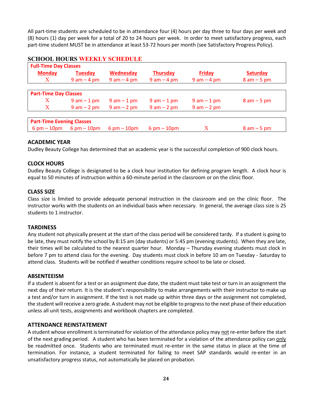All part-time students are scheduled to be in attendance four (4) hours per day three to four days per week and (8) hours (1) day per week for a total of 20 to 24 hours per week. In order to meet satisfactory progress, each part-time student MUST be in attendance at least 53-72 hours per month (see Satisfactory Progress Policy).

| <b>Full-Time Day Classes</b>     |                               |                               |                               |                 |                 |  |
|----------------------------------|-------------------------------|-------------------------------|-------------------------------|-----------------|-----------------|--|
| <b>Monday</b>                    | <b>Tuesday</b>                | <b>Wednesday</b>              | <b>Thursday</b>               | <b>Friday</b>   | <b>Saturday</b> |  |
| $\mathbf{X}$                     | $9$ am $-4$ pm                | $9$ am $-$ 4 pm               | $9$ am $-$ 4 pm               | $9$ am $-$ 4 pm | $8 am - 5 pm$   |  |
|                                  |                               |                               |                               |                 |                 |  |
|                                  | <b>Part-Time Day Classes</b>  |                               |                               |                 |                 |  |
| X                                | $9$ am $-1$ pm                | $9$ am $-1$ pm                | $9$ am $-1$ pm                | $9$ am $-1$ pm  | $8$ am $-5$ pm  |  |
| X                                | $9 am - 2 pm$                 | $9$ am $-2$ pm                | $9 am - 2 pm$                 | $9$ am $-2$ pm  |                 |  |
|                                  |                               |                               |                               |                 |                 |  |
| <b>Part-Time Evening Classes</b> |                               |                               |                               |                 |                 |  |
| $6 \text{ pm} - 10 \text{pm}$    | $6 \text{ pm} - 10 \text{pm}$ | $6 \text{ pm} - 10 \text{pm}$ | $6 \text{ pm} - 10 \text{pm}$ | X               | $8$ am $-5$ pm  |  |

### <span id="page-23-0"></span>**SCHOOL HOURS WEEKLY SCHEDULE**

#### <span id="page-23-1"></span>**ACADEMIC YEAR**

Dudley Beauty College has determined that an academic year is the successful completion of 900 clock hours.

#### <span id="page-23-2"></span>**CLOCK HOURS**

Dudley Beauty College is designated to be a clock hour institution for defining program length. A clock hour is equal to 50 minutes of instruction within a 60-minute period in the classroom or on the clinic floor.

#### <span id="page-23-3"></span>**CLASS SIZE**

Class size is limited to provide adequate personal instruction in the classroom and on the clinic floor. The instructor works with the students on an individual basis when necessary. In general, the average class size is 25 students to 1 instructor.

#### <span id="page-23-4"></span>**TARDINESS**

Any student not physically present at the start of the class period will be considered tardy. If a student is going to be late, they must notify the school by 8:15 am (day students) or 5:45 pm (evening students). When they are late, their times will be calculated to the nearest quarter hour. Monday – Thursday evening students must clock in before 7 pm to attend class for the evening. Day students must clock in before 10 am on Tuesday - Saturday to attend class. Students will be notified if weather conditions require school to be late or closed.

#### <span id="page-23-5"></span>**ABSENTEEISM**

If a student is absent for a test or an assignment due date, the student must take test or turn in an assignment the next day of their return. It is the student's responsibility to make arrangements with their instructor to make up a test and/or turn in assignment. If the test is not made up within three days or the assignment not completed, the student will receive a zero grade. A student may not be eligible to progress to the next phase of their education unless all unit tests, assignments and workbook chapters are completed.

#### <span id="page-23-6"></span>**ATTENDANCE REINSTATEMENT**

A student whose enrollment is terminated for violation of the attendance policy may not re-enter before the start of the next grading period. A student who has been terminated for a violation of the attendance policy can only be readmitted once. Students who are terminated must re-enter in the same status in place at the time of termination. For instance, a student terminated for failing to meet SAP standards would re-enter in an unsatisfactory progress status, not automatically be placed on probation.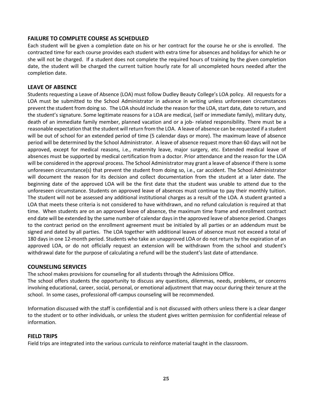#### <span id="page-24-0"></span>**FAILURE TO COMPLETE COURSE AS SCHEDULED**

Each student will be given a completion date on his or her contract for the course he or she is enrolled. The contracted time for each course provides each student with extra time for absences and holidays for which he or she will not be charged. If a student does not complete the required hours of training by the given completion date, the student will be charged the current tuition hourly rate for all uncompleted hours needed after the completion date.

#### <span id="page-24-1"></span>**LEAVE OF ABSENCE**

Students requesting a Leave of Absence (LOA) must follow Dudley Beauty College's LOA policy. All requests for a LOA must be submitted to the School Administrator in advance in writing unless unforeseen circumstances prevent the student from doing so. The LOA should include the reason for the LOA, start date, date to return, and the student's signature. Some legitimate reasons for a LOA are medical, (self or immediate family), military duty, death of an immediate family member, planned vacation and or a job- related responsibility. There must be a reasonable expectation that the student will return from the LOA. A leave of absence can be requested if a student will be out of school for an extended period of time (5 calendar days or more). The maximum leave of absence period will be determined by the School Administrator. A leave of absence request more than 60 days will not be approved, except for medical reasons, i.e., maternity leave, major surgery, etc. Extended medical leave of absences must be supported by medical certification from a doctor. Prior attendance and the reason for the LOA will be considered in the approval process. The School Administrator may grant a leave of absence if there is some unforeseen circumstance(s) that prevent the student from doing so, i.e., car accident. The School Administrator will document the reason for its decision and collect documentation from the student at a later date. The beginning date of the approved LOA will be the first date that the student was unable to attend due to the unforeseen circumstance. Students on approved leave of absences must continue to pay their monthly tuition. The student will not be assessed any additional institutional charges as a result of the LOA. A student granted a LOA that meets these criteria is not considered to have withdrawn, and no refund calculation is required at that time. When students are on an approved leave of absence, the maximum time frame and enrollment contract end date will be extended by the same number of calendar days in the approved leave of absence period. Changes to the contract period on the enrollment agreement must be initialed by all parties or an addendum must be signed and dated by all parties. The LOA together with additional leaves of absence must not exceed a total of 180 days in one 12-month period. Students who take an unapproved LOA or do not return by the expiration of an approved LOA, or do not officially request an extension will be withdrawn from the school and student's withdrawal date for the purpose of calculating a refund will be the student's last date of attendance.

#### <span id="page-24-2"></span>**COUNSELING SERVICES**

The school makes provisions for counseling for all students through the Admissions Office.

The school offers students the opportunity to discuss any questions, dilemmas, needs, problems, or concerns involving educational, career, social, personal, or emotional adjustment that may occur during their tenure at the school. In some cases, professional off-campus counseling will be recommended.

Information discussed with the staff is confidential and is not discussed with others unless there is a clear danger to the student or to other individuals, or unless the student gives written permission for confidential release of information.

#### <span id="page-24-3"></span>**FIELD TRIPS**

Field trips are integrated into the various curricula to reinforce material taught in the classroom.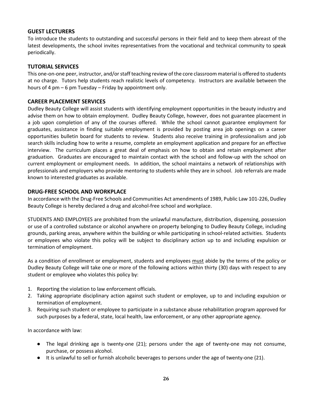#### <span id="page-25-0"></span>**GUEST LECTURERS**

To introduce the students to outstanding and successful persons in their field and to keep them abreast of the latest developments, the school invites representatives from the vocational and technical community to speak periodically.

#### <span id="page-25-1"></span>**TUTORIAL SERVICES**

This one-on-one peer, instructor, and/or staff teaching review of the core classroom material is offered to students at no charge. Tutors help students reach realistic levels of competency. Instructors are available between the hours of 4 pm – 6 pm Tuesday – Friday by appointment only.

#### <span id="page-25-2"></span>**CAREER PLACEMENT SERVICES**

Dudley Beauty College will assist students with identifying employment opportunities in the beauty industry and advise them on how to obtain employment. Dudley Beauty College, however, does not guarantee placement in a job upon completion of any of the courses offered. While the school cannot guarantee employment for graduates, assistance in finding suitable employment is provided by posting area job openings on a career opportunities bulletin board for students to review. Students also receive training in professionalism and job search skills including how to write a resume, complete an employment application and prepare for an effective interview. The curriculum places a great deal of emphasis on how to obtain and retain employment after graduation. Graduates are encouraged to maintain contact with the school and follow-up with the school on current employment or employment needs. In addition, the school maintains a network of relationships with professionals and employers who provide mentoring to students while they are in school. Job referrals are made known to interested graduates as available.

#### <span id="page-25-3"></span>**DRUG-FREE SCHOOL AND WORKPLACE**

In accordance with the Drug-Free Schools and Communities Act amendments of 1989, Public Law 101-226, Dudley Beauty College is hereby declared a drug and alcohol-free school and workplace.

STUDENTS AND EMPLOYEES are prohibited from the unlawful manufacture, distribution, dispensing, possession or use of a controlled substance or alcohol anywhere on property belonging to Dudley Beauty College, including grounds, parking areas, anywhere within the building or while participating in school-related activities. Students or employees who violate this policy will be subject to disciplinary action up to and including expulsion or termination of employment.

As a condition of enrollment or employment, students and employees must abide by the terms of the policy or Dudley Beauty College will take one or more of the following actions within thirty (30) days with respect to any student or employee who violates this policy by:

- 1. Reporting the violation to law enforcement officials.
- 2. Taking appropriate disciplinary action against such student or employee, up to and including expulsion or termination of employment.
- 3. Requiring such student or employee to participate in a substance abuse rehabilitation program approved for such purposes by a federal, state, local health, law enforcement, or any other appropriate agency.

In accordance with law:

- The legal drinking age is twenty-one (21); persons under the age of twenty-one may not consume, purchase, or possess alcohol.
- It is unlawful to sell or furnish alcoholic beverages to persons under the age of twenty-one (21).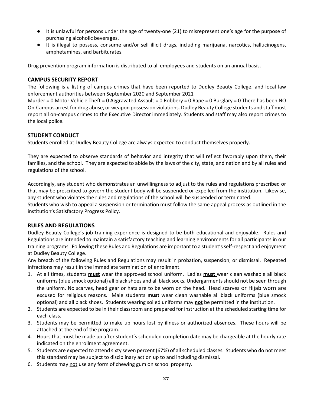- It is unlawful for persons under the age of twenty-one (21) to misrepresent one's age for the purpose of purchasing alcoholic beverages.
- It is illegal to possess, consume and/or sell illicit drugs, including marijuana, narcotics, hallucinogens, amphetamines, and barbiturates.

Drug prevention program information is distributed to all employees and students on an annual basis.

#### <span id="page-26-0"></span>**CAMPUS SECURITY REPORT**

The following is a listing of campus crimes that have been reported to Dudley Beauty College, and local law enforcement authorities between September 2020 and September 2021

Murder = 0 Motor Vehicle Theft = 0 Aggravated Assault = 0 Robbery = 0 Rape = 0 Burglary = 0 There has been NO On-Campus arrest for drug abuse, or weapon possession violations. Dudley Beauty College students and staff must report all on-campus crimes to the Executive Director immediately. Students and staff may also report crimes to the local police.

#### <span id="page-26-1"></span>**STUDENT CONDUCT**

Students enrolled at Dudley Beauty College are always expected to conduct themselves properly.

They are expected to observe standards of behavior and integrity that will reflect favorably upon them, their families, and the school. They are expected to abide by the laws of the city, state, and nation and by all rules and regulations of the school.

Accordingly, any student who demonstrates an unwillingness to adjust to the rules and regulations prescribed or that may be prescribed to govern the student body will be suspended or expelled from the institution. Likewise, any student who violates the rules and regulations of the school will be suspended or terminated.

Students who wish to appeal a suspension or termination must follow the same appeal process as outlined in the institution's Satisfactory Progress Policy.

#### <span id="page-26-2"></span>**RULES AND REGULATIONS**

Dudley Beauty College's job training experience is designed to be both educational and enjoyable. Rules and Regulations are intended to maintain a satisfactory teaching and learning environments for all participants in our training programs. Following these Rules and Regulations are important to a student's self-respect and enjoyment at Dudley Beauty College.

Any breach of the following Rules and Regulations may result in probation, suspension, or dismissal. Repeated infractions may result in the immediate termination of enrollment.

- 1. At all times, students **must** wear the approved school uniform. Ladies **must** wear clean washable all black uniforms (blue smock optional) all black shoes and all black socks. Undergarments should not be seen through the uniform. No scarves, head gear or hats are to be worn on the head. Head scarves or Hijab worn are excused for religious reasons. Male students **must** wear clean washable all black uniforms (blue smock optional) and all black shoes. Students wearing soiled uniforms may **not** be permitted in the institution.
- 2. Students are expected to be in their classroom and prepared for instruction at the scheduled starting time for each class.
- 3. Students may be permitted to make up hours lost by illness or authorized absences. These hours will be attached at the end of the program.
- 4. Hours that must be made up after student's scheduled completion date may be chargeable at the hourly rate indicated on the enrollment agreement.
- 5. Students are expected to attend sixty seven percent (67%) of all scheduled classes. Students who do not meet this standard may be subject to disciplinary action up to and including dismissal.
- 6. Students may not use any form of chewing gum on school property.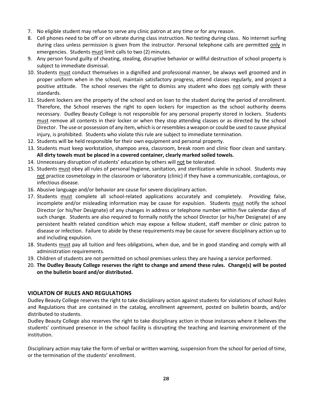- 7. No eligible student may refuse to serve any clinic patron at any time or for any reason.
- 8. Cell phones need to be off or on vibrate during class instruction. No texting during class. No internet surfing during class unless permission is given from the instructor. Personal telephone calls are permitted only in emergencies. Students must limit calls to two (2) minutes.
- 9. Any person found guilty of cheating, stealing, disruptive behavior or willful destruction of school property is subject to immediate dismissal.
- 10. Students must conduct themselves in a dignified and professional manner, be always well groomed and in proper uniform when in the school, maintain satisfactory progress, attend classes regularly, and project a positive attitude. The school reserves the right to dismiss any student who does not comply with these standards.
- 11. Student lockers are the property of the school and on loan to the student during the period of enrollment. Therefore, the School reserves the right to open lockers for inspection as the school authority deems necessary. Dudley Beauty College is not responsible for any personal property stored in lockers. Students must remove all contents in their locker or when they stop attending classes or as directed by the school Director. The use or possession of any item, which is or resembles a weapon or could be used to cause physical injury, is prohibited. Students who violate this rule are subject to immediate termination.
- 12. Students will be held responsible for their own equipment and personal property.
- 13. Students must keep workstation, shampoo area, classroom, break room and clinic floor clean and sanitary. **All dirty towels must be placed in a covered container, clearly marked soiled towels.**
- 14. Unnecessary disruption of students' education by others will not be tolerated.
- 15. Students must obey all rules of personal hygiene, sanitation, and sterilization while in school. Students may not practice cosmetology in the classroom or laboratory (clinic) if they have a communicable, contagious, or infectious disease.
- 16. Abusive language and/or behavior are cause for severe disciplinary action.
- 17. Students must complete all school-related applications accurately and completely. Providing false, incomplete and/or misleading information may be cause for expulsion. Students must notify the school Director (or his/her Designate) of any changes in address or telephone number within five calendar days of such change. Students are also required to formally notify the school Director (or his/her Designate) of any persistent health related condition which may expose a fellow student, staff member or clinic patron to disease or infection. Failure to abide by these requirements may be cause for severe disciplinary action up to and including expulsion.
- 18. Students must pay all tuition and fees obligations, when due, and be in good standing and comply with all administration requirements.
- 19. Children of students are not permitted on school premises unless they are having a service performed.
- 20. **The Dudley Beauty College reserves the right to change and amend these rules. Change(s) will be posted on the bulletin board and/or distributed.**

#### <span id="page-27-0"></span>**VIOLATON OF RULES AND REGULATIONS**

Dudley Beauty College reserves the right to take disciplinary action against students for violations of school Rules and Regulations that are contained in the catalog, enrollment agreement, posted on bulletin boards, and/or distributed to students.

Dudley Beauty College also reserves the right to take disciplinary action in those instances where it believes the students' continued presence in the school facility is disrupting the teaching and learning environment of the institution.

Disciplinary action may take the form of verbal or written warning, suspension from the school for period of time, or the termination of the students' enrollment.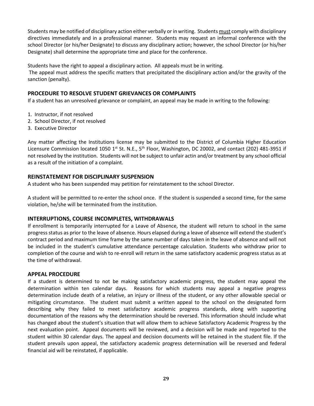Students may be notified of disciplinary action either verbally or in writing. Students must comply with disciplinary directives immediately and in a professional manner. Students may request an informal conference with the school Director (or his/her Designate) to discuss any disciplinary action; however, the school Director (or his/her Designate) shall determine the appropriate time and place for the conference.

Students have the right to appeal a disciplinary action. All appeals must be in writing.

The appeal must address the specific matters that precipitated the disciplinary action and/or the gravity of the sanction (penalty).

#### <span id="page-28-0"></span>**PROCEDURE TO RESOLVE STUDENT GRIEVANCES OR COMPLAINTS**

If a student has an unresolved grievance or complaint, an appeal may be made in writing to the following:

- 1. Instructor, if not resolved
- 2. School Director, if not resolved
- 3. Executive Director

Any matter affecting the Institutions license may be submitted to the District of Columbia Higher Education Licensure Commission located 1050 1<sup>st</sup> St. N.E., 5<sup>th</sup> Floor, Washington, DC 20002, and contact (202) 481-3951 if not resolved by the institution. Students will not be subject to unfair actin and/or treatment by any school official as a result of the initiation of a complaint.

#### <span id="page-28-1"></span>**REINSTATEMENT FOR DISCIPLINARY SUSPENSION**

A student who has been suspended may petition for reinstatement to the school Director.

A student will be permitted to re-enter the school once. If the student is suspended a second time, for the same violation, he/she will be terminated from the institution.

#### <span id="page-28-2"></span>**INTERRUPTIONS, COURSE INCOMPLETES, WITHDRAWALS**

If enrollment is temporarily interrupted for a Leave of Absence, the student will return to school in the same progress status as prior to the leave of absence. Hours elapsed during a leave of absence will extend the student's contract period and maximum time frame by the same number of days taken in the leave of absence and will not be included in the student's cumulative attendance percentage calculation. Students who withdraw prior to completion of the course and wish to re-enroll will return in the same satisfactory academic progress status as at the time of withdrawal.

#### <span id="page-28-3"></span>**APPEAL PROCEDURE**

If a student is determined to not be making satisfactory academic progress, the student may appeal the determination within ten calendar days. Reasons for which students may appeal a negative progress determination include death of a relative, an injury or illness of the student, or any other allowable special or mitigating circumstance. The student must submit a written appeal to the school on the designated form describing why they failed to meet satisfactory academic progress standards, along with supporting documentation of the reasons why the determination should be reversed. This information should include what has changed about the student's situation that will allow them to achieve Satisfactory Academic Progress by the next evaluation point. Appeal documents will be reviewed, and a decision will be made and reported to the student within 30 calendar days. The appeal and decision documents will be retained in the student file. If the student prevails upon appeal, the satisfactory academic progress determination will be reversed and federal financial aid will be reinstated, if applicable.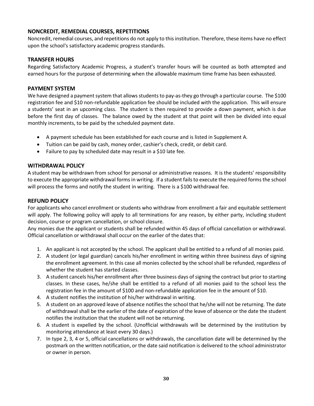### <span id="page-29-0"></span>**NONCREDIT, REMEDIAL COURSES, REPETITIONS**

Noncredit, remedial courses, and repetitions do not apply to this institution. Therefore, these items have no effect upon the school's satisfactory academic progress standards.

#### <span id="page-29-1"></span>**TRANSFER HOURS**

Regarding Satisfactory Academic Progress, a student's transfer hours will be counted as both attempted and earned hours for the purpose of determining when the allowable maximum time frame has been exhausted.

#### <span id="page-29-2"></span>**PAYMENT SYSTEM**

We have designed a payment system that allows students to pay-as-they go through a particular course. The \$100 registration fee and \$10 non-refundable application fee should be included with the application. This will ensure a students' seat in an upcoming class. The student is then required to provide a down payment, which is due before the first day of classes. The balance owed by the student at that point will then be divided into equal monthly increments, to be paid by the scheduled payment date.

- A payment schedule has been established for each course and is listed in Supplement A.
- Tuition can be paid by cash, money order, cashier's check, credit, or debit card.
- Failure to pay by scheduled date may result in a \$10 late fee.

#### <span id="page-29-3"></span>**WITHDRAWAL POLICY**

A student may be withdrawn from school for personal or administrative reasons. It is the students' responsibility to execute the appropriate withdrawal forms in writing. If a student fails to execute the required forms the school will process the forms and notify the student in writing. There is a \$100 withdrawal fee.

#### <span id="page-29-4"></span>**REFUND POLICY**

For applicants who cancel enrollment or students who withdraw from enrollment a fair and equitable settlement will apply. The following policy will apply to all terminations for any reason, by either party, including student decision, course or program cancellation, or school closure.

Any monies due the applicant or students shall be refunded within 45 days of official cancellation or withdrawal. Official cancellation or withdrawal shall occur on the earlier of the dates that:

- 1. An applicant is not accepted by the school. The applicant shall be entitled to a refund of all monies paid.
- 2. A student (or legal guardian) cancels his/her enrollment in writing within three business days of signing the enrollment agreement. In this case all monies collected by the school shall be refunded, regardless of whether the student has started classes.
- 3. A student cancels his/her enrollment after three business days of signing the contract but prior to starting classes. In these cases, he/she shall be entitled to a refund of all monies paid to the school less the registration fee in the amount of \$100 and non-refundable application fee in the amount of \$10.
- 4. A student notifies the institution of his/her withdrawal in writing.
- 5. A student on an approved leave of absence notifies the school that he/she will not be returning. The date of withdrawal shall be the earlier of the date of expiration of the leave of absence or the date the student notifies the institution that the student will not be returning.
- 6. A student is expelled by the school. (Unofficial withdrawals will be determined by the institution by monitoring attendance at least every 30 days.)
- 7. In type 2, 3, 4 or 5, official cancellations or withdrawals, the cancellation date will be determined by the postmark on the written notification, or the date said notification is delivered to the school administrator or owner in person.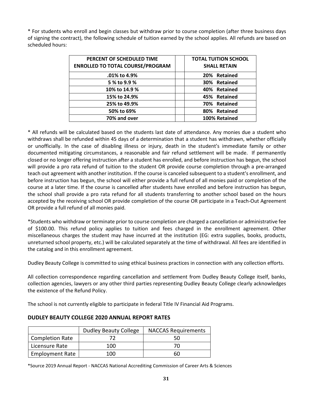\* For students who enroll and begin classes but withdraw prior to course completion (after three business days of signing the contract), the following schedule of tuition earned by the school applies. All refunds are based on scheduled hours:

| PERCENT OF SCHEDULED TIME               | <b>TOTAL TUITION SCHOOL</b> |
|-----------------------------------------|-----------------------------|
| <b>ENROLLED TO TOTAL COURSE/PROGRAM</b> | <b>SHALL RETAIN</b>         |
| .01% to 4.9%                            | 20% Retained                |
| 5 % to 9.9 %                            | 30% Retained                |
| 10% to 14.9 %                           | 40% Retained                |
| 15% to 24.9%                            | 45% Retained                |
| 25% to 49.9%                            | 70% Retained                |
| 50% to 69%                              | 80% Retained                |
| 70% and over                            | 100% Retained               |

\* All refunds will be calculated based on the students last date of attendance. Any monies due a student who withdraws shall be refunded within 45 days of a determination that a student has withdrawn, whether officially or unofficially. In the case of disabling illness or injury, death in the student's immediate family or other documented mitigating circumstances, a reasonable and fair refund settlement will be made. If permanently closed or no longer offering instruction after a student has enrolled, and before instruction has begun, the school will provide a pro rata refund of tuition to the student OR provide course completion through a pre-arranged teach out agreement with another institution. If the course is canceled subsequent to a student's enrollment, and before instruction has begun, the school will either provide a full refund of all monies paid or completion of the course at a later time. If the course is cancelled after students have enrolled and before instruction has begun, the school shall provide a pro rata refund for all students transferring to another school based on the hours accepted by the receiving school OR provide completion of the course OR participate in a Teach-Out Agreement OR provide a full refund of all monies paid.

\*Students who withdraw or terminate prior to course completion are charged a cancellation or administrative fee of \$100.00. This refund policy applies to tuition and fees charged in the enrollment agreement. Other miscellaneous charges the student may have incurred at the institution (EG: extra supplies, books, products, unreturned school property, etc.) will be calculated separately at the time of withdrawal. All fees are identified in the catalog and in this enrollment agreement.

Dudley Beauty College is committed to using ethical business practices in connection with any collection efforts.

All collection correspondence regarding cancellation and settlement from Dudley Beauty College itself, banks, collection agencies, lawyers or any other third parties representing Dudley Beauty College clearly acknowledges the existence of the Refund Policy.

The school is not currently eligible to participate in federal Title IV Financial Aid Programs.

|                        | <b>Dudley Beauty College</b> | <b>NACCAS Requirements</b> |
|------------------------|------------------------------|----------------------------|
| Completion Rate        |                              | 50                         |
| Licensure Rate         | 100                          | 70                         |
| <b>Employment Rate</b> | 100                          | 60                         |

### <span id="page-30-0"></span>**DUDLEY BEAUTY COLLEGE 2020 ANNUAL REPORT RATES**

\*Source 2019 Annual Report - NACCAS National Accrediting Commission of Career Arts & Sciences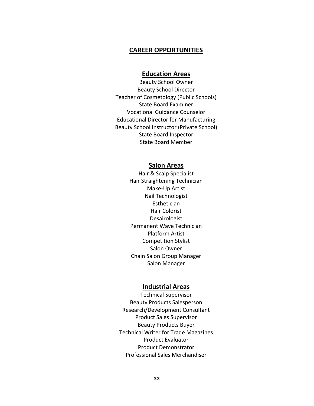#### **CAREER OPPORTUNITIES**

# **Education Areas**

Beauty School Owner Beauty School Director Teacher of Cosmetology (Public Schools) State Board Examiner Vocational Guidance Counselor Educational Director for Manufacturing Beauty School Instructor (Private School) State Board Inspector State Board Member

### **Salon Areas**

Hair & Scalp Specialist Hair Straightening Technician Make-Up Artist Nail Technologist **Esthetician** Hair Colorist Desairologist Permanent Wave Technician Platform Artist Competition Stylist Salon Owner Chain Salon Group Manager Salon Manager

#### **Industrial Areas**

Technical Supervisor Beauty Products Salesperson Research/Development Consultant Product Sales Supervisor Beauty Products Buyer Technical Writer for Trade Magazines Product Evaluator Product Demonstrator Professional Sales Merchandiser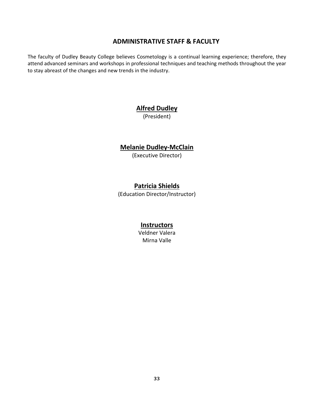# **ADMINISTRATIVE STAFF & FACULTY**

<span id="page-32-0"></span>The faculty of Dudley Beauty College believes Cosmetology is a continual learning experience; therefore, they attend advanced seminars and workshops in professional techniques and teaching methods throughout the year to stay abreast of the changes and new trends in the industry.

# **Alfred Dudley**

(President)

# **Melanie Dudley-McClain**

(Executive Director)

# **Patricia Shields**

(Education Director/Instructor)

# **Instructors**

Veldner Valera Mirna Valle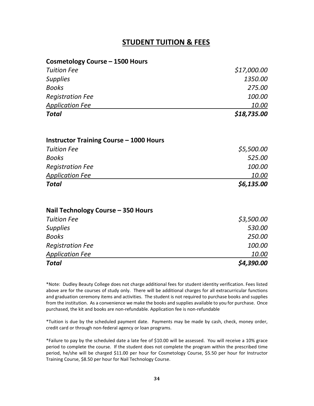# **STUDENT TUITION & FEES**

<span id="page-33-0"></span>

| <b>Cosmetology Course - 1500 Hours</b>         |               |
|------------------------------------------------|---------------|
| <b>Tuition Fee</b>                             | \$17,000.00   |
| <b>Supplies</b>                                | 1350.00       |
| <b>Books</b>                                   | 275.00        |
| <b>Registration Fee</b>                        | 100.00        |
| <b>Application Fee</b>                         | 10.00         |
| <b>Total</b>                                   | \$18,735.00   |
| <b>Instructor Training Course - 1000 Hours</b> |               |
| <b>Tuition Fee</b>                             | \$5,500.00    |
| <b>Books</b>                                   | 525.00        |
| <b>Registration Fee</b>                        | 100.00        |
| <b>Application Fee</b>                         | <u> 10.00</u> |
| <b>Total</b>                                   | \$6,135.00    |
| Nail Technology Course - 350 Hours             |               |
| <b>Tuition Fee</b>                             | \$3,500.00    |
| <b>Supplies</b>                                | 530.00        |
| <b>Books</b>                                   | 250.00        |
| <b>Registration Fee</b>                        | 100.00        |
| <b>Application Fee</b>                         | <u> 10.00</u> |
| Total                                          | \$4,390.00    |

\*Note: Dudley Beauty College does not charge additional fees for student identity verification. Fees listed above are for the courses of study only. There will be additional charges for all extracurricular functions and graduation ceremony items and activities. The student is not required to purchase books and supplies from the institution. As a convenience we make the books and supplies available to you for purchase. Once purchased, the kit and books are non-refundable. Application fee is non-refundable

\*Tuition is due by the scheduled payment date. Payments may be made by cash, check, money order, credit card or through non-federal agency or loan programs.

\*Failure to pay by the scheduled date a late fee of \$10.00 will be assessed. You will receive a 10% grace period to complete the course. If the student does not complete the program within the prescribed time period, he/she will be charged \$11.00 per hour for Cosmetology Course, \$5.50 per hour for Instructor Training Course, \$8.50 per hour for Nail Technology Course.